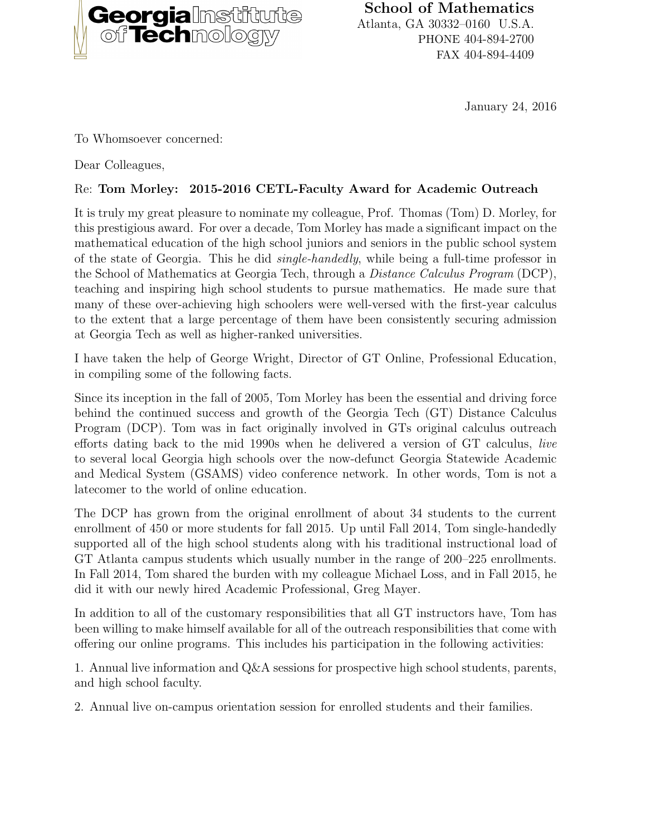

School of Mathematics Atlanta, GA 30332–0160 U.S.A. PHONE 404-894-2700 FAX 404-894-4409

January 24, 2016

To Whomsoever concerned:

Dear Colleagues,

## Re: Tom Morley: 2015-2016 CETL-Faculty Award for Academic Outreach

It is truly my great pleasure to nominate my colleague, Prof. Thomas (Tom) D. Morley, for this prestigious award. For over a decade, Tom Morley has made a significant impact on the mathematical education of the high school juniors and seniors in the public school system of the state of Georgia. This he did single-handedly, while being a full-time professor in the School of Mathematics at Georgia Tech, through a Distance Calculus Program (DCP), teaching and inspiring high school students to pursue mathematics. He made sure that many of these over-achieving high schoolers were well-versed with the first-year calculus to the extent that a large percentage of them have been consistently securing admission at Georgia Tech as well as higher-ranked universities.

I have taken the help of George Wright, Director of GT Online, Professional Education, in compiling some of the following facts.

Since its inception in the fall of 2005, Tom Morley has been the essential and driving force behind the continued success and growth of the Georgia Tech (GT) Distance Calculus Program (DCP). Tom was in fact originally involved in GTs original calculus outreach efforts dating back to the mid 1990s when he delivered a version of GT calculus, live to several local Georgia high schools over the now-defunct Georgia Statewide Academic and Medical System (GSAMS) video conference network. In other words, Tom is not a latecomer to the world of online education.

The DCP has grown from the original enrollment of about 34 students to the current enrollment of 450 or more students for fall 2015. Up until Fall 2014, Tom single-handedly supported all of the high school students along with his traditional instructional load of GT Atlanta campus students which usually number in the range of 200–225 enrollments. In Fall 2014, Tom shared the burden with my colleague Michael Loss, and in Fall 2015, he did it with our newly hired Academic Professional, Greg Mayer.

In addition to all of the customary responsibilities that all GT instructors have, Tom has been willing to make himself available for all of the outreach responsibilities that come with offering our online programs. This includes his participation in the following activities:

1. Annual live information and Q&A sessions for prospective high school students, parents, and high school faculty.

2. Annual live on-campus orientation session for enrolled students and their families.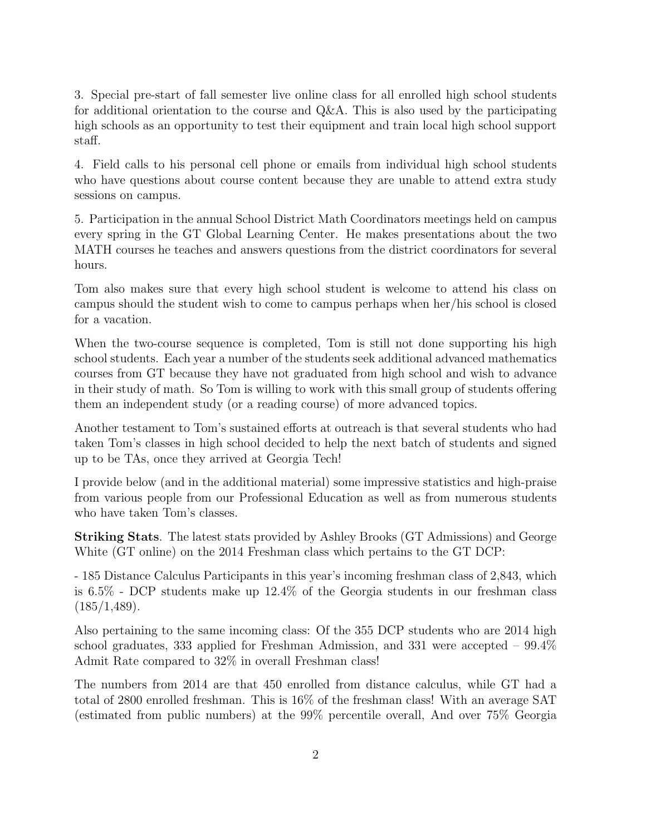3. Special pre-start of fall semester live online class for all enrolled high school students for additional orientation to the course and Q&A. This is also used by the participating high schools as an opportunity to test their equipment and train local high school support staff.

4. Field calls to his personal cell phone or emails from individual high school students who have questions about course content because they are unable to attend extra study sessions on campus.

5. Participation in the annual School District Math Coordinators meetings held on campus every spring in the GT Global Learning Center. He makes presentations about the two MATH courses he teaches and answers questions from the district coordinators for several hours.

Tom also makes sure that every high school student is welcome to attend his class on campus should the student wish to come to campus perhaps when her/his school is closed for a vacation.

When the two-course sequence is completed, Tom is still not done supporting his high school students. Each year a number of the students seek additional advanced mathematics courses from GT because they have not graduated from high school and wish to advance in their study of math. So Tom is willing to work with this small group of students offering them an independent study (or a reading course) of more advanced topics.

Another testament to Tom's sustained efforts at outreach is that several students who had taken Tom's classes in high school decided to help the next batch of students and signed up to be TAs, once they arrived at Georgia Tech!

I provide below (and in the additional material) some impressive statistics and high-praise from various people from our Professional Education as well as from numerous students who have taken Tom's classes.

Striking Stats. The latest stats provided by Ashley Brooks (GT Admissions) and George White (GT online) on the 2014 Freshman class which pertains to the GT DCP:

- 185 Distance Calculus Participants in this year's incoming freshman class of 2,843, which is 6.5% - DCP students make up 12.4% of the Georgia students in our freshman class  $(185/1, 489)$ .

Also pertaining to the same incoming class: Of the 355 DCP students who are 2014 high school graduates, 333 applied for Freshman Admission, and 331 were accepted – 99.4% Admit Rate compared to 32% in overall Freshman class!

The numbers from 2014 are that 450 enrolled from distance calculus, while GT had a total of 2800 enrolled freshman. This is 16% of the freshman class! With an average SAT (estimated from public numbers) at the 99% percentile overall, And over 75% Georgia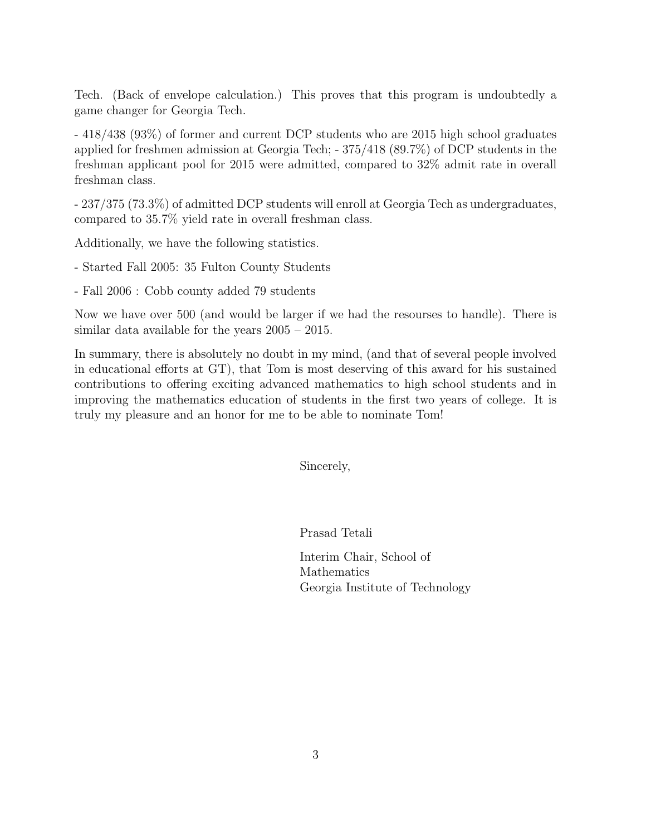Tech. (Back of envelope calculation.) This proves that this program is undoubtedly a game changer for Georgia Tech.

- 418/438 (93%) of former and current DCP students who are 2015 high school graduates applied for freshmen admission at Georgia Tech; - 375/418 (89.7%) of DCP students in the freshman applicant pool for 2015 were admitted, compared to 32% admit rate in overall freshman class.

- 237/375 (73.3%) of admitted DCP students will enroll at Georgia Tech as undergraduates, compared to 35.7% yield rate in overall freshman class.

Additionally, we have the following statistics.

- Started Fall 2005: 35 Fulton County Students

- Fall 2006 : Cobb county added 79 students

Now we have over 500 (and would be larger if we had the resourses to handle). There is similar data available for the years 2005 – 2015.

In summary, there is absolutely no doubt in my mind, (and that of several people involved in educational efforts at GT), that Tom is most deserving of this award for his sustained contributions to offering exciting advanced mathematics to high school students and in improving the mathematics education of students in the first two years of college. It is truly my pleasure and an honor for me to be able to nominate Tom!

Sincerely,

Prasad Tetali

Interim Chair, School of Mathematics Georgia Institute of Technology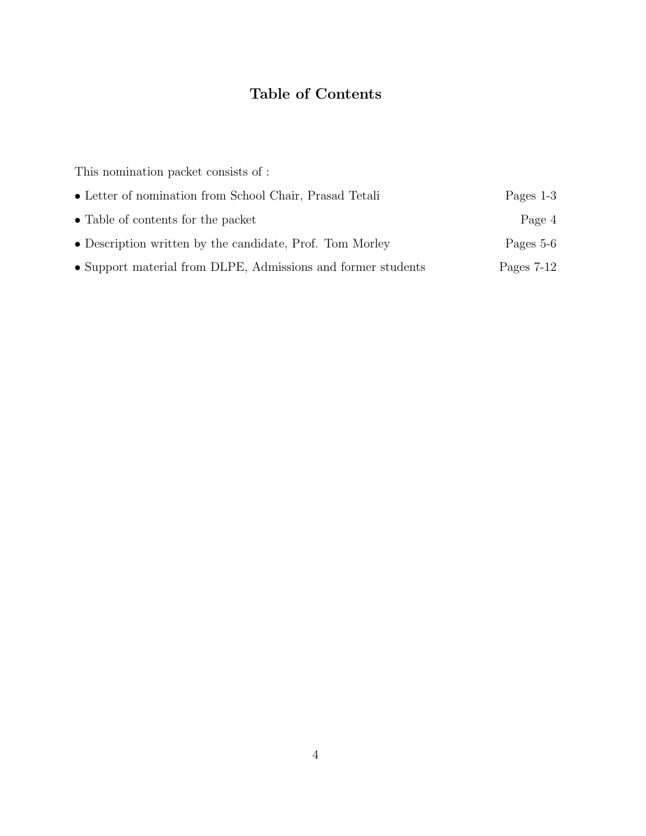# Table of Contents

This nomination packet consists of :

| • Letter of nomination from School Chair, Prasad Tetali      | Pages $1-3$  |
|--------------------------------------------------------------|--------------|
| • Table of contents for the packet                           | Page 4       |
| • Description written by the candidate, Prof. Tom Morley     | Pages 5-6    |
| • Support material from DLPE, Admissions and former students | Pages $7-12$ |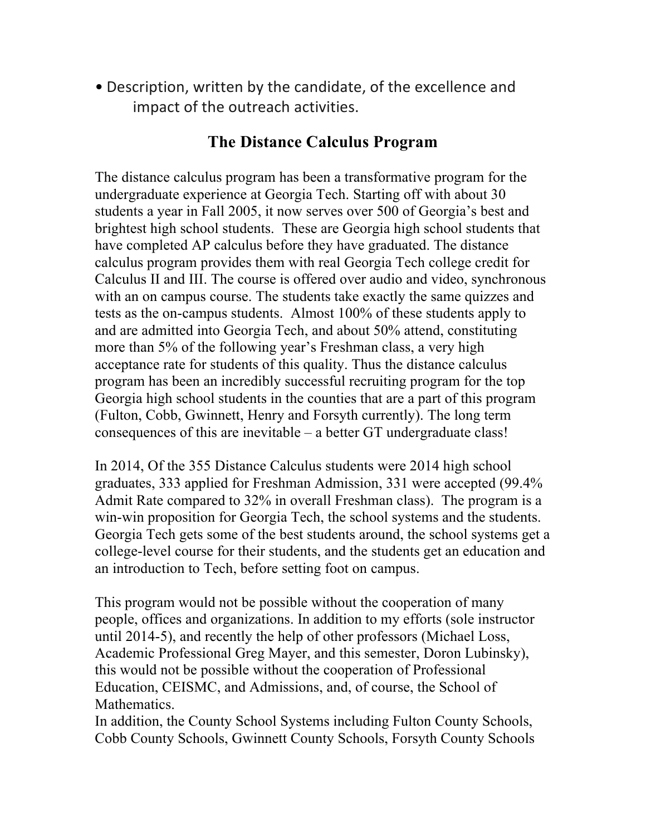• Description, written by the candidate, of the excellence and impact of the outreach activities.

## **The Distance Calculus Program**

The distance calculus program has been a transformative program for the undergraduate experience at Georgia Tech. Starting off with about 30 students a year in Fall 2005, it now serves over 500 of Georgia's best and brightest high school students. These are Georgia high school students that have completed AP calculus before they have graduated. The distance calculus program provides them with real Georgia Tech college credit for Calculus II and III. The course is offered over audio and video, synchronous with an on campus course. The students take exactly the same quizzes and tests as the on-campus students. Almost 100% of these students apply to and are admitted into Georgia Tech, and about 50% attend, constituting more than 5% of the following year's Freshman class, a very high acceptance rate for students of this quality. Thus the distance calculus program has been an incredibly successful recruiting program for the top Georgia high school students in the counties that are a part of this program (Fulton, Cobb, Gwinnett, Henry and Forsyth currently). The long term consequences of this are inevitable – a better GT undergraduate class!

In 2014, Of the 355 Distance Calculus students were 2014 high school graduates, 333 applied for Freshman Admission, 331 were accepted (99.4% Admit Rate compared to 32% in overall Freshman class). The program is a win-win proposition for Georgia Tech, the school systems and the students. Georgia Tech gets some of the best students around, the school systems get a college-level course for their students, and the students get an education and an introduction to Tech, before setting foot on campus.

This program would not be possible without the cooperation of many people, offices and organizations. In addition to my efforts (sole instructor until 2014-5), and recently the help of other professors (Michael Loss, Academic Professional Greg Mayer, and this semester, Doron Lubinsky), this would not be possible without the cooperation of Professional Education, CEISMC, and Admissions, and, of course, the School of Mathematics.

In addition, the County School Systems including Fulton County Schools, Cobb County Schools, Gwinnett County Schools, Forsyth County Schools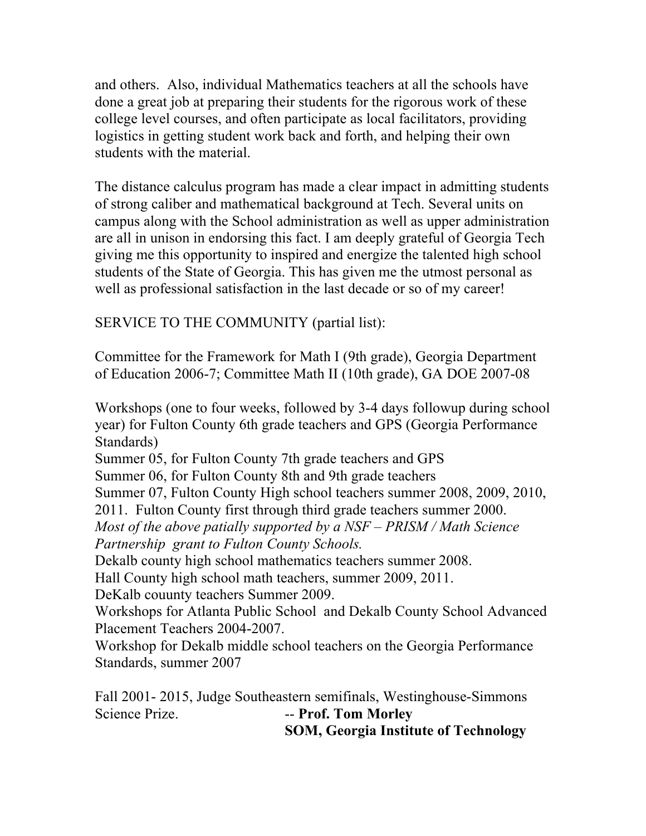and others. Also, individual Mathematics teachers at all the schools have done a great job at preparing their students for the rigorous work of these college level courses, and often participate as local facilitators, providing logistics in getting student work back and forth, and helping their own students with the material.

The distance calculus program has made a clear impact in admitting students of strong caliber and mathematical background at Tech. Several units on campus along with the School administration as well as upper administration are all in unison in endorsing this fact. I am deeply grateful of Georgia Tech giving me this opportunity to inspired and energize the talented high school students of the State of Georgia. This has given me the utmost personal as well as professional satisfaction in the last decade or so of my career!

SERVICE TO THE COMMUNITY (partial list):

Committee for the Framework for Math I (9th grade), Georgia Department of Education 2006-7; Committee Math II (10th grade), GA DOE 2007-08

Workshops (one to four weeks, followed by 3-4 days followup during school year) for Fulton County 6th grade teachers and GPS (Georgia Performance Standards)

Summer 05, for Fulton County 7th grade teachers and GPS Summer 06, for Fulton County 8th and 9th grade teachers Summer 07, Fulton County High school teachers summer 2008, 2009, 2010, 2011. Fulton County first through third grade teachers summer 2000. *Most of the above patially supported by a NSF – PRISM / Math Science Partnership grant to Fulton County Schools.*

Dekalb county high school mathematics teachers summer 2008.

Hall County high school math teachers, summer 2009, 2011.

DeKalb couunty teachers Summer 2009.

Workshops for Atlanta Public School and Dekalb County School Advanced Placement Teachers 2004-2007.

Workshop for Dekalb middle school teachers on the Georgia Performance Standards, summer 2007

Fall 2001- 2015, Judge Southeastern semifinals, Westinghouse-Simmons Science Prize. **-- Prof. Tom Morley SOM, Georgia Institute of Technology**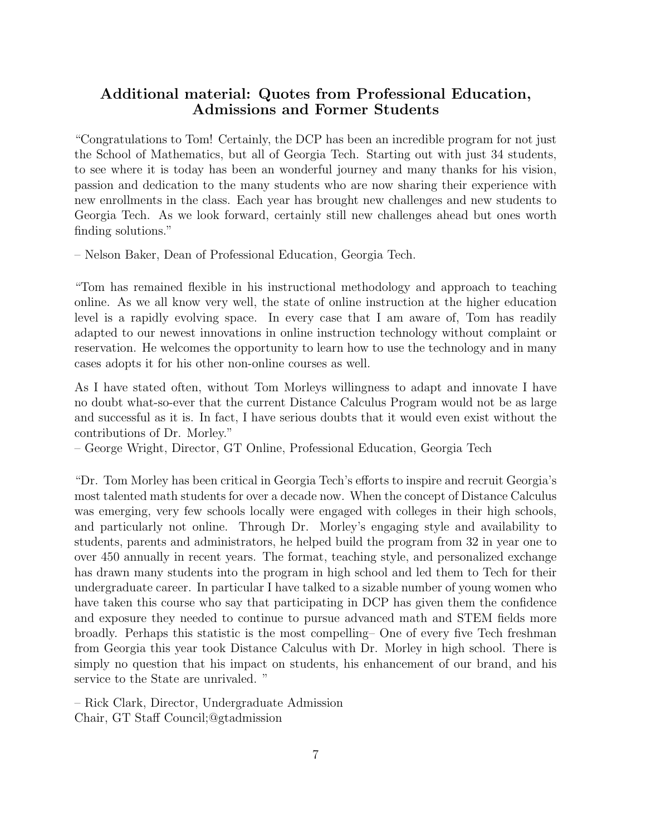### Additional material: Quotes from Professional Education, Admissions and Former Students

"Congratulations to Tom! Certainly, the DCP has been an incredible program for not just the School of Mathematics, but all of Georgia Tech. Starting out with just 34 students, to see where it is today has been an wonderful journey and many thanks for his vision, passion and dedication to the many students who are now sharing their experience with new enrollments in the class. Each year has brought new challenges and new students to Georgia Tech. As we look forward, certainly still new challenges ahead but ones worth finding solutions."

– Nelson Baker, Dean of Professional Education, Georgia Tech.

"Tom has remained flexible in his instructional methodology and approach to teaching online. As we all know very well, the state of online instruction at the higher education level is a rapidly evolving space. In every case that I am aware of, Tom has readily adapted to our newest innovations in online instruction technology without complaint or reservation. He welcomes the opportunity to learn how to use the technology and in many cases adopts it for his other non-online courses as well.

As I have stated often, without Tom Morleys willingness to adapt and innovate I have no doubt what-so-ever that the current Distance Calculus Program would not be as large and successful as it is. In fact, I have serious doubts that it would even exist without the contributions of Dr. Morley."

– George Wright, Director, GT Online, Professional Education, Georgia Tech

"Dr. Tom Morley has been critical in Georgia Tech's efforts to inspire and recruit Georgia's most talented math students for over a decade now. When the concept of Distance Calculus was emerging, very few schools locally were engaged with colleges in their high schools, and particularly not online. Through Dr. Morley's engaging style and availability to students, parents and administrators, he helped build the program from 32 in year one to over 450 annually in recent years. The format, teaching style, and personalized exchange has drawn many students into the program in high school and led them to Tech for their undergraduate career. In particular I have talked to a sizable number of young women who have taken this course who say that participating in DCP has given them the confidence and exposure they needed to continue to pursue advanced math and STEM fields more broadly. Perhaps this statistic is the most compelling– One of every five Tech freshman from Georgia this year took Distance Calculus with Dr. Morley in high school. There is simply no question that his impact on students, his enhancement of our brand, and his service to the State are unrivaled. "

– Rick Clark, Director, Undergraduate Admission Chair, GT Staff Council;@gtadmission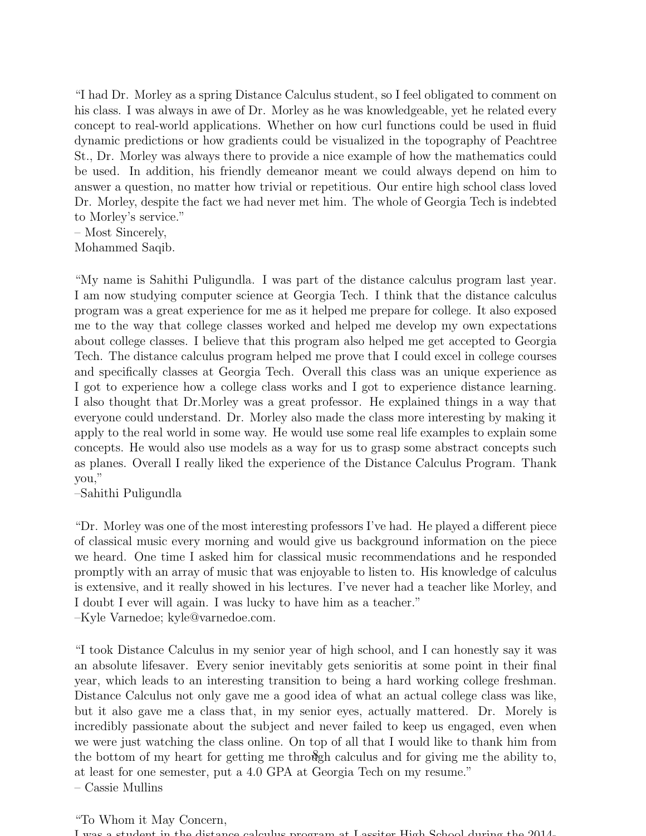"I had Dr. Morley as a spring Distance Calculus student, so I feel obligated to comment on his class. I was always in awe of Dr. Morley as he was knowledgeable, yet he related every concept to real-world applications. Whether on how curl functions could be used in fluid dynamic predictions or how gradients could be visualized in the topography of Peachtree St., Dr. Morley was always there to provide a nice example of how the mathematics could be used. In addition, his friendly demeanor meant we could always depend on him to answer a question, no matter how trivial or repetitious. Our entire high school class loved Dr. Morley, despite the fact we had never met him. The whole of Georgia Tech is indebted to Morley's service."

– Most Sincerely, Mohammed Saqib.

"My name is Sahithi Puligundla. I was part of the distance calculus program last year. I am now studying computer science at Georgia Tech. I think that the distance calculus program was a great experience for me as it helped me prepare for college. It also exposed me to the way that college classes worked and helped me develop my own expectations about college classes. I believe that this program also helped me get accepted to Georgia Tech. The distance calculus program helped me prove that I could excel in college courses and specifically classes at Georgia Tech. Overall this class was an unique experience as I got to experience how a college class works and I got to experience distance learning. I also thought that Dr.Morley was a great professor. He explained things in a way that everyone could understand. Dr. Morley also made the class more interesting by making it apply to the real world in some way. He would use some real life examples to explain some concepts. He would also use models as a way for us to grasp some abstract concepts such as planes. Overall I really liked the experience of the Distance Calculus Program. Thank you,"

–Sahithi Puligundla

"Dr. Morley was one of the most interesting professors I've had. He played a different piece of classical music every morning and would give us background information on the piece we heard. One time I asked him for classical music recommendations and he responded promptly with an array of music that was enjoyable to listen to. His knowledge of calculus is extensive, and it really showed in his lectures. I've never had a teacher like Morley, and I doubt I ever will again. I was lucky to have him as a teacher." –Kyle Varnedoe; kyle@varnedoe.com.

"I took Distance Calculus in my senior year of high school, and I can honestly say it was an absolute lifesaver. Every senior inevitably gets senioritis at some point in their final year, which leads to an interesting transition to being a hard working college freshman. Distance Calculus not only gave me a good idea of what an actual college class was like, but it also gave me a class that, in my senior eyes, actually mattered. Dr. Morely is incredibly passionate about the subject and never failed to keep us engaged, even when we were just watching the class online. On top of all that I would like to thank him from the bottom of my heart for getting me through calculus and for giving me the ability to, at least for one semester, put a 4.0 GPA at Georgia Tech on my resume." – Cassie Mullins

#### "To Whom it May Concern,

I was a student in the distance calculus program at Lassiter High School during the 2014-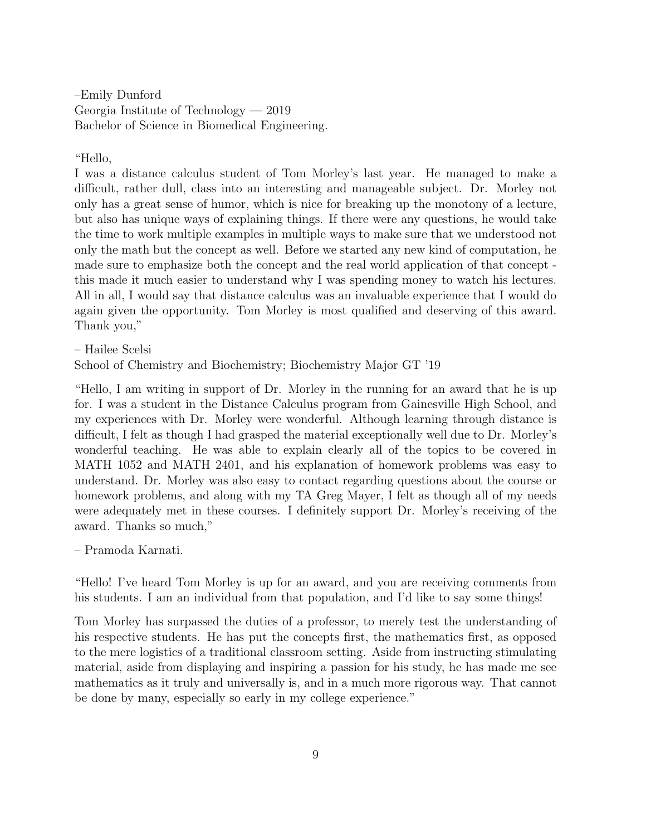–Emily Dunford Georgia Institute of Technology — 2019 Bachelor of Science in Biomedical Engineering.

"Hello,

I was a distance calculus student of Tom Morley's last year. He managed to make a difficult, rather dull, class into an interesting and manageable subject. Dr. Morley not only has a great sense of humor, which is nice for breaking up the monotony of a lecture, but also has unique ways of explaining things. If there were any questions, he would take the time to work multiple examples in multiple ways to make sure that we understood not only the math but the concept as well. Before we started any new kind of computation, he made sure to emphasize both the concept and the real world application of that concept this made it much easier to understand why I was spending money to watch his lectures. All in all, I would say that distance calculus was an invaluable experience that I would do again given the opportunity. Tom Morley is most qualified and deserving of this award. Thank you,"

– Hailee Scelsi

School of Chemistry and Biochemistry; Biochemistry Major GT '19

"Hello, I am writing in support of Dr. Morley in the running for an award that he is up for. I was a student in the Distance Calculus program from Gainesville High School, and my experiences with Dr. Morley were wonderful. Although learning through distance is difficult, I felt as though I had grasped the material exceptionally well due to Dr. Morley's wonderful teaching. He was able to explain clearly all of the topics to be covered in MATH 1052 and MATH 2401, and his explanation of homework problems was easy to understand. Dr. Morley was also easy to contact regarding questions about the course or homework problems, and along with my TA Greg Mayer, I felt as though all of my needs were adequately met in these courses. I definitely support Dr. Morley's receiving of the award. Thanks so much,"

– Pramoda Karnati.

"Hello! I've heard Tom Morley is up for an award, and you are receiving comments from his students. I am an individual from that population, and I'd like to say some things!

Tom Morley has surpassed the duties of a professor, to merely test the understanding of his respective students. He has put the concepts first, the mathematics first, as opposed to the mere logistics of a traditional classroom setting. Aside from instructing stimulating material, aside from displaying and inspiring a passion for his study, he has made me see mathematics as it truly and universally is, and in a much more rigorous way. That cannot be done by many, especially so early in my college experience."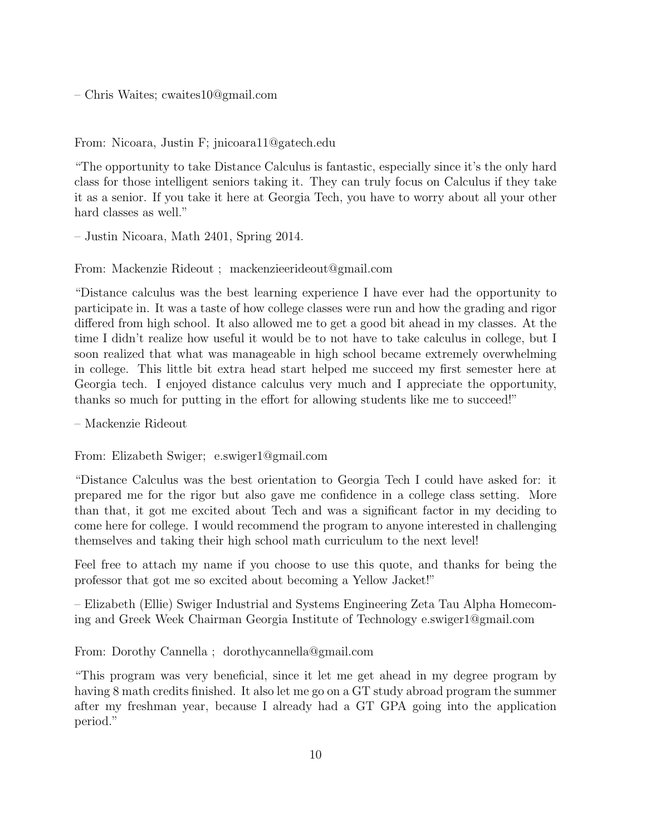– Chris Waites; cwaites10@gmail.com

From: Nicoara, Justin F; jnicoara11@gatech.edu

"The opportunity to take Distance Calculus is fantastic, especially since it's the only hard class for those intelligent seniors taking it. They can truly focus on Calculus if they take it as a senior. If you take it here at Georgia Tech, you have to worry about all your other hard classes as well."

– Justin Nicoara, Math 2401, Spring 2014.

From: Mackenzie Rideout ; mackenzieerideout@gmail.com

"Distance calculus was the best learning experience I have ever had the opportunity to participate in. It was a taste of how college classes were run and how the grading and rigor differed from high school. It also allowed me to get a good bit ahead in my classes. At the time I didn't realize how useful it would be to not have to take calculus in college, but I soon realized that what was manageable in high school became extremely overwhelming in college. This little bit extra head start helped me succeed my first semester here at Georgia tech. I enjoyed distance calculus very much and I appreciate the opportunity, thanks so much for putting in the effort for allowing students like me to succeed!"

– Mackenzie Rideout

From: Elizabeth Swiger; e.swiger1@gmail.com

"Distance Calculus was the best orientation to Georgia Tech I could have asked for: it prepared me for the rigor but also gave me confidence in a college class setting. More than that, it got me excited about Tech and was a significant factor in my deciding to come here for college. I would recommend the program to anyone interested in challenging themselves and taking their high school math curriculum to the next level!

Feel free to attach my name if you choose to use this quote, and thanks for being the professor that got me so excited about becoming a Yellow Jacket!"

– Elizabeth (Ellie) Swiger Industrial and Systems Engineering Zeta Tau Alpha Homecoming and Greek Week Chairman Georgia Institute of Technology e.swiger1@gmail.com

From: Dorothy Cannella ; dorothycannella@gmail.com

"This program was very beneficial, since it let me get ahead in my degree program by having 8 math credits finished. It also let me go on a GT study abroad program the summer after my freshman year, because I already had a GT GPA going into the application period."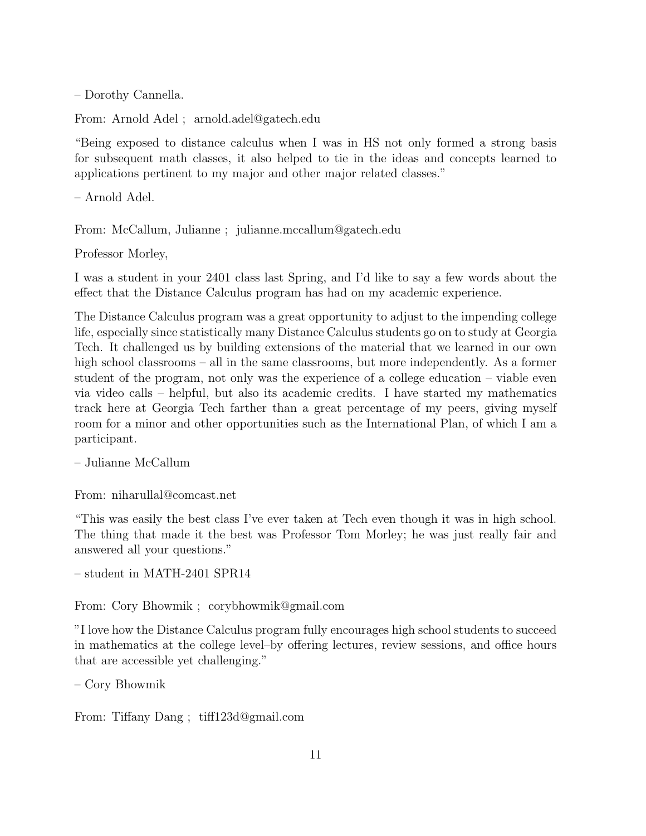– Dorothy Cannella.

From: Arnold Adel ; arnold.adel@gatech.edu

"Being exposed to distance calculus when I was in HS not only formed a strong basis for subsequent math classes, it also helped to tie in the ideas and concepts learned to applications pertinent to my major and other major related classes."

– Arnold Adel.

From: McCallum, Julianne ; julianne.mccallum@gatech.edu

Professor Morley,

I was a student in your 2401 class last Spring, and I'd like to say a few words about the effect that the Distance Calculus program has had on my academic experience.

The Distance Calculus program was a great opportunity to adjust to the impending college life, especially since statistically many Distance Calculus students go on to study at Georgia Tech. It challenged us by building extensions of the material that we learned in our own high school classrooms – all in the same classrooms, but more independently. As a former student of the program, not only was the experience of a college education – viable even via video calls – helpful, but also its academic credits. I have started my mathematics track here at Georgia Tech farther than a great percentage of my peers, giving myself room for a minor and other opportunities such as the International Plan, of which I am a participant.

– Julianne McCallum

From: niharullal@comcast.net

"This was easily the best class I've ever taken at Tech even though it was in high school. The thing that made it the best was Professor Tom Morley; he was just really fair and answered all your questions."

– student in MATH-2401 SPR14

From: Cory Bhowmik ; corybhowmik@gmail.com

"I love how the Distance Calculus program fully encourages high school students to succeed in mathematics at the college level–by offering lectures, review sessions, and office hours that are accessible yet challenging."

– Cory Bhowmik

From: Tiffany Dang ; tiff123d@gmail.com